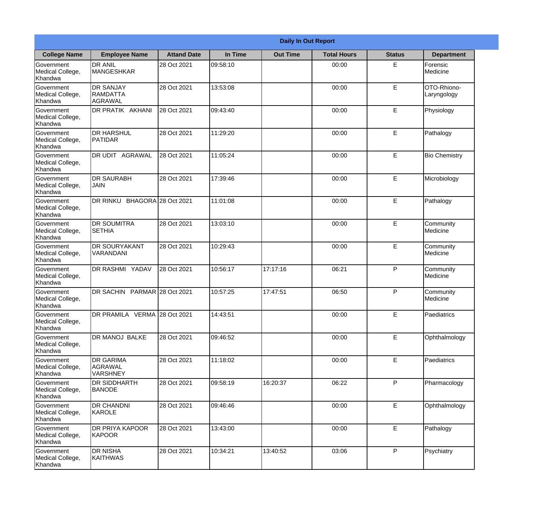|                                                  | <b>Daily In Out Report</b>                     |                    |          |                 |                    |               |                            |  |  |
|--------------------------------------------------|------------------------------------------------|--------------------|----------|-----------------|--------------------|---------------|----------------------------|--|--|
| <b>College Name</b>                              | <b>Employee Name</b>                           | <b>Attand Date</b> | In Time  | <b>Out Time</b> | <b>Total Hours</b> | <b>Status</b> | <b>Department</b>          |  |  |
| Government<br>Medical College,<br>Khandwa        | <b>DR ANIL</b><br><b>MANGESHKAR</b>            | 28 Oct 2021        | 09:58:10 |                 | 00:00              | E             | Forensic<br>Medicine       |  |  |
| Government<br>Medical College,<br>Khandwa        | <b>DR SANJAY</b><br><b>RAMDATTA</b><br>AGRAWAL | 28 Oct 2021        | 13:53:08 |                 | 00:00              | E             | OTO-Rhiono-<br>Laryngology |  |  |
| Government<br>Medical College,<br>Khandwa        | <b>DR PRATIK AKHANI</b>                        | 28 Oct 2021        | 09:43:40 |                 | 00:00              | E             | Physiology                 |  |  |
| Government<br>Medical College,<br>Khandwa        | <b>DR HARSHUL</b><br>PATIDAR                   | 28 Oct 2021        | 11:29:20 |                 | 00:00              | E             | Pathalogy                  |  |  |
| <b>Government</b><br>Medical College,<br>Khandwa | <b>DR UDIT AGRAWAL</b>                         | 28 Oct 2021        | 11:05:24 |                 | 00:00              | E             | <b>Bio Chemistry</b>       |  |  |
| Government<br>Medical College,<br>Khandwa        | <b>DR SAURABH</b><br><b>JAIN</b>               | 28 Oct 2021        | 17:39:46 |                 | 00:00              | E             | Microbiology               |  |  |
| Government<br>Medical College,<br>Khandwa        | DR RINKU BHAGORA 28 Oct 2021                   |                    | 11:01:08 |                 | 00:00              | E             | Pathalogy                  |  |  |
| Government<br>Medical College,<br>Khandwa        | <b>DR SOUMITRA</b><br><b>SETHIA</b>            | 28 Oct 2021        | 13:03:10 |                 | 00:00              | E             | Community<br>Medicine      |  |  |
| Government<br>Medical College,<br>Khandwa        | <b>DR SOURYAKANT</b><br>VARANDANI              | 28 Oct 2021        | 10:29:43 |                 | 00:00              | E             | Community<br>Medicine      |  |  |
| Government<br>Medical College,<br>Khandwa        | DR RASHMI YADAV                                | 28 Oct 2021        | 10:56:17 | 17:17:16        | 06:21              | P             | Community<br>Medicine      |  |  |
| Government<br>Medical College,<br>Khandwa        | <b>DR SACHIN</b>                               | PARMAR 28 Oct 2021 | 10:57:25 | 17:47:51        | 06:50              | $\mathsf{P}$  | Community<br>Medicine      |  |  |
| Government<br>Medical College,<br>Khandwa        | DR PRAMILA VERMA 28 Oct 2021                   |                    | 14:43:51 |                 | 00:00              | E             | Paediatrics                |  |  |
| Government<br>Medical College,<br>Khandwa        | DR MANOJ BALKE                                 | 28 Oct 2021        | 09:46:52 |                 | 00:00              | E             | Ophthalmology              |  |  |
| Government<br>Medical College,<br>Khandwa        | <b>DR GARIMA</b><br>AGRAWAL<br><b>VARSHNEY</b> | 28 Oct 2021        | 11:18:02 |                 | 00:00              | E             | Paediatrics                |  |  |
| Government<br>Medical College,<br>Khandwa        | <b>DR SIDDHARTH</b><br><b>BANODE</b>           | 28 Oct 2021        | 09:58:19 | 16:20:37        | 06:22              | P             | Pharmacology               |  |  |
| Government<br>Medical College,<br>Khandwa        | <b>DR CHANDNI</b><br>KAROLE                    | 28 Oct 2021        | 09:46:46 |                 | 00:00              | E             | Ophthalmology              |  |  |
| Government<br>Medical College,<br>Khandwa        | <b>DR PRIYA KAPOOR</b><br>KAPOOR               | 28 Oct 2021        | 13:43:00 |                 | 00:00              | E             | Pathalogy                  |  |  |
| Government<br>Medical College,<br>Khandwa        | <b>DR NISHA</b><br><b>KAITHWAS</b>             | 28 Oct 2021        | 10:34:21 | 13:40:52        | 03:06              | P             | Psychiatry                 |  |  |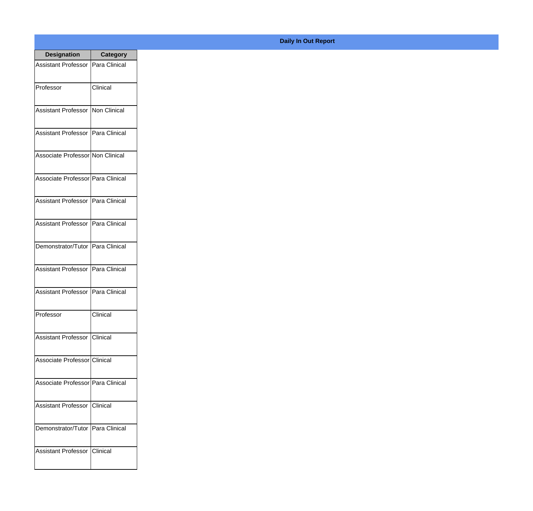| <b>Designation</b>                  | <b>Category</b> |
|-------------------------------------|-----------------|
| Assistant Professor   Para Clinical |                 |
| Professor                           | Clinical        |
| Assistant Professor                 | Non Clinical    |
| <b>Assistant Professor</b>          | Para Clinical   |
| Associate Professor Non Clinical    |                 |
| Associate Professor Para Clinical   |                 |
| Assistant Professor   Para Clinical |                 |
| Assistant Professor   Para Clinical |                 |
| Demonstrator/Tutor   Para Clinical  |                 |
| <b>Assistant Professor</b>          | Para Clinical   |
| Assistant Professor                 | Para Clinical   |
| Professor                           | Clinical        |
| Assistant Professor   Clinical      |                 |
| Associate Professor Clinical        |                 |
| Associate Professor Para Clinical   |                 |
| <b>Assistant Professor</b>          | <b>Clinical</b> |
| Demonstrator/Tutor   Para Clinical  |                 |
| Assistant Professor   Clinical      |                 |

## **Daily In Out Report**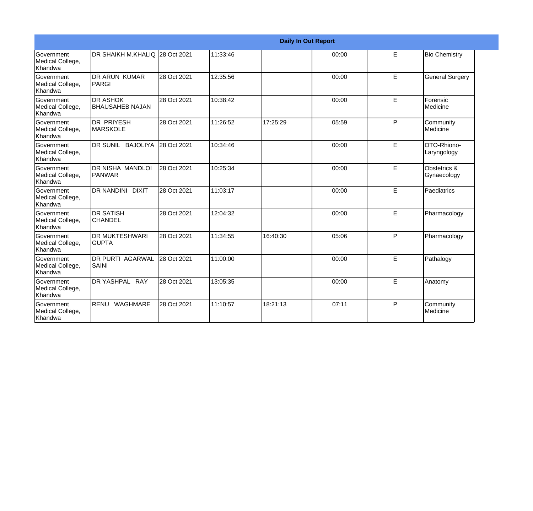|                                           | <b>Daily In Out Report</b>                |             |          |          |       |              |                             |
|-------------------------------------------|-------------------------------------------|-------------|----------|----------|-------|--------------|-----------------------------|
| Government<br>Medical College,<br>Khandwa | DR SHAIKH M.KHALIQ 28 Oct 2021            |             | 11:33:46 |          | 00:00 | E            | <b>Bio Chemistry</b>        |
| Government<br>Medical College,<br>Khandwa | <b>DR ARUN KUMAR</b><br>PARGI             | 28 Oct 2021 | 12:35:56 |          | 00:00 | E            | <b>General Surgery</b>      |
| Government<br>Medical College,<br>Khandwa | <b>DR ASHOK</b><br><b>BHAUSAHEB NAJAN</b> | 28 Oct 2021 | 10:38:42 |          | 00:00 | E            | Forensic<br>Medicine        |
| Government<br>Medical College,<br>Khandwa | <b>DR PRIYESH</b><br><b>MARSKOLE</b>      | 28 Oct 2021 | 11:26:52 | 17:25:29 | 05:59 | P            | Community<br>Medicine       |
| Government<br>Medical College,<br>Khandwa | DR SUNIL BAJOLIYA                         | 28 Oct 2021 | 10:34:46 |          | 00:00 | E            | OTO-Rhiono-<br>Laryngology  |
| Government<br>Medical College,<br>Khandwa | DR NISHA MANDLOI<br><b>PANWAR</b>         | 28 Oct 2021 | 10:25:34 |          | 00:00 | E            | Obstetrics &<br>Gynaecology |
| Government<br>Medical College,<br>Khandwa | <b>DR NANDINI</b><br><b>DIXIT</b>         | 28 Oct 2021 | 11:03:17 |          | 00:00 | E            | Paediatrics                 |
| Government<br>Medical College,<br>Khandwa | <b>DR SATISH</b><br><b>CHANDEL</b>        | 28 Oct 2021 | 12:04:32 |          | 00:00 | E            | Pharmacology                |
| Government<br>Medical College,<br>Khandwa | <b>DR MUKTESHWARI</b><br><b>GUPTA</b>     | 28 Oct 2021 | 11:34:55 | 16:40:30 | 05:06 | P            | Pharmacology                |
| Government<br>Medical College,<br>Khandwa | <b>DR PURTI AGARWAL</b><br><b>SAINI</b>   | 28 Oct 2021 | 11:00:00 |          | 00:00 | E            | Pathalogy                   |
| Government<br>Medical College,<br>Khandwa | DR YASHPAL RAY                            | 28 Oct 2021 | 13:05:35 |          | 00:00 | E            | Anatomy                     |
| Government<br>Medical College,<br>Khandwa | RENU<br>WAGHMARE                          | 28 Oct 2021 | 11:10:57 | 18:21:13 | 07:11 | $\mathsf{P}$ | Community<br>Medicine       |